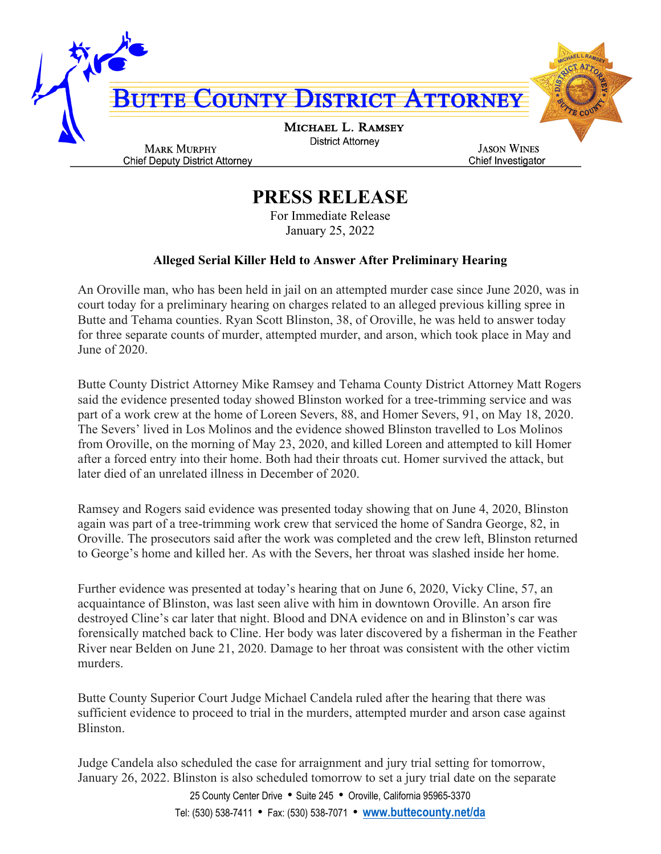

## **PRESS RELEASE**

For Immediate Release January 25, 2022

## **Alleged Serial Killer Held to Answer After Preliminary Hearing**

An Oroville man, who has been held in jail on an attempted murder case since June 2020, was in court today for a preliminary hearing on charges related to an alleged previous killing spree in Butte and Tehama counties. Ryan Scott Blinston, 38, of Oroville, he was held to answer today for three separate counts of murder, attempted murder, and arson, which took place in May and June of 2020.

Butte County District Attorney Mike Ramsey and Tehama County District Attorney Matt Rogers said the evidence presented today showed Blinston worked for a tree-trimming service and was part of a work crew at the home of Loreen Severs, 88, and Homer Severs, 91, on May 18, 2020. The Severs' lived in Los Molinos and the evidence showed Blinston travelled to Los Molinos from Oroville, on the morning of May 23, 2020, and killed Loreen and attempted to kill Homer after a forced entry into their home. Both had their throats cut. Homer survived the attack, but later died of an unrelated illness in December of 2020.

Ramsey and Rogers said evidence was presented today showing that on June 4, 2020, Blinston again was part of a tree-trimming work crew that serviced the home of Sandra George, 82, in Oroville. The prosecutors said after the work was completed and the crew left, Blinston returned to George's home and killed her. As with the Severs, her throat was slashed inside her home.

Further evidence was presented at today's hearing that on June 6, 2020, Vicky Cline, 57, an acquaintance of Blinston, was last seen alive with him in downtown Oroville. An arson fire destroyed Cline's car later that night. Blood and DNA evidence on and in Blinston's car was forensically matched back to Cline. Her body was later discovered by a fisherman in the Feather River near Belden on June 21, 2020. Damage to her throat was consistent with the other victim murders.

Butte County Superior Court Judge Michael Candela ruled after the hearing that there was sufficient evidence to proceed to trial in the murders, attempted murder and arson case against Blinston.

Judge Candela also scheduled the case for arraignment and jury trial setting for tomorrow, January 26, 2022. Blinston is also scheduled tomorrow to set a jury trial date on the separate

> 25 County Center Drive • Suite 245 • Oroville, California 95965-3370 Tel: (530) 538-7411 • Fax: (530) 538-7071 • **[www.buttecounty.net/da](http://www.buttecounty.net/da)**